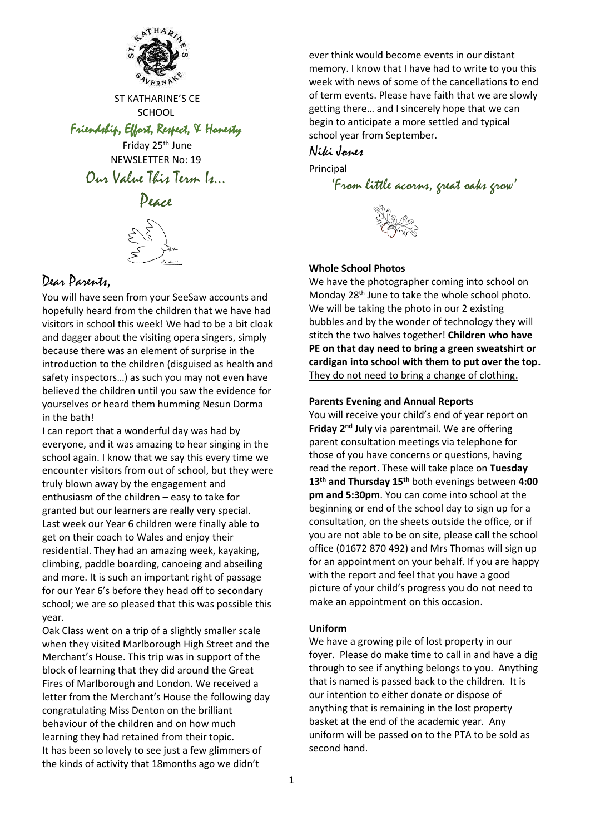

ST KATHARINE'S CE **SCHOOL** 

Friendship, Effort, Respect, & Honesty

Friday 25th June NEWSLETTER No: 19 Our Value This Term Is…



# Dear Parents,

You will have seen from your SeeSaw accounts and hopefully heard from the children that we have had visitors in school this week! We had to be a bit cloak and dagger about the visiting opera singers, simply because there was an element of surprise in the introduction to the children (disguised as health and safety inspectors…) as such you may not even have believed the children until you saw the evidence for yourselves or heard them humming Nesun Dorma in the bath!

I can report that a wonderful day was had by everyone, and it was amazing to hear singing in the school again. I know that we say this every time we encounter visitors from out of school, but they were truly blown away by the engagement and enthusiasm of the children – easy to take for granted but our learners are really very special. Last week our Year 6 children were finally able to get on their coach to Wales and enjoy their residential. They had an amazing week, kayaking, climbing, paddle boarding, canoeing and abseiling and more. It is such an important right of passage for our Year 6's before they head off to secondary school; we are so pleased that this was possible this year.

Oak Class went on a trip of a slightly smaller scale when they visited Marlborough High Street and the Merchant's House. This trip was in support of the block of learning that they did around the Great Fires of Marlborough and London. We received a letter from the Merchant's House the following day congratulating Miss Denton on the brilliant behaviour of the children and on how much learning they had retained from their topic. It has been so lovely to see just a few glimmers of the kinds of activity that 18months ago we didn't

ever think would become events in our distant memory. I know that I have had to write to you this week with news of some of the cancellations to end of term events. Please have faith that we are slowly getting there… and I sincerely hope that we can begin to anticipate a more settled and typical school year from September.

## Niki Jones

Principal

```
'From little acorns, great oaks grow'
```


#### **Whole School Photos**

We have the photographer coming into school on Monday 28<sup>th</sup> June to take the whole school photo. We will be taking the photo in our 2 existing bubbles and by the wonder of technology they will stitch the two halves together! **Children who have PE on that day need to bring a green sweatshirt or cardigan into school with them to put over the top.** They do not need to bring a change of clothing.

#### **Parents Evening and Annual Reports**

You will receive your child's end of year report on Friday 2<sup>nd</sup> July via parentmail. We are offering parent consultation meetings via telephone for those of you have concerns or questions, having read the report. These will take place on **Tuesday 13th and Thursday 15th** both evenings between **4:00 pm and 5:30pm**. You can come into school at the beginning or end of the school day to sign up for a consultation, on the sheets outside the office, or if you are not able to be on site, please call the school office (01672 870 492) and Mrs Thomas will sign up for an appointment on your behalf. If you are happy with the report and feel that you have a good picture of your child's progress you do not need to make an appointment on this occasion.

#### **Uniform**

We have a growing pile of lost property in our foyer. Please do make time to call in and have a dig through to see if anything belongs to you. Anything that is named is passed back to the children. It is our intention to either donate or dispose of anything that is remaining in the lost property basket at the end of the academic year. Any uniform will be passed on to the PTA to be sold as second hand.